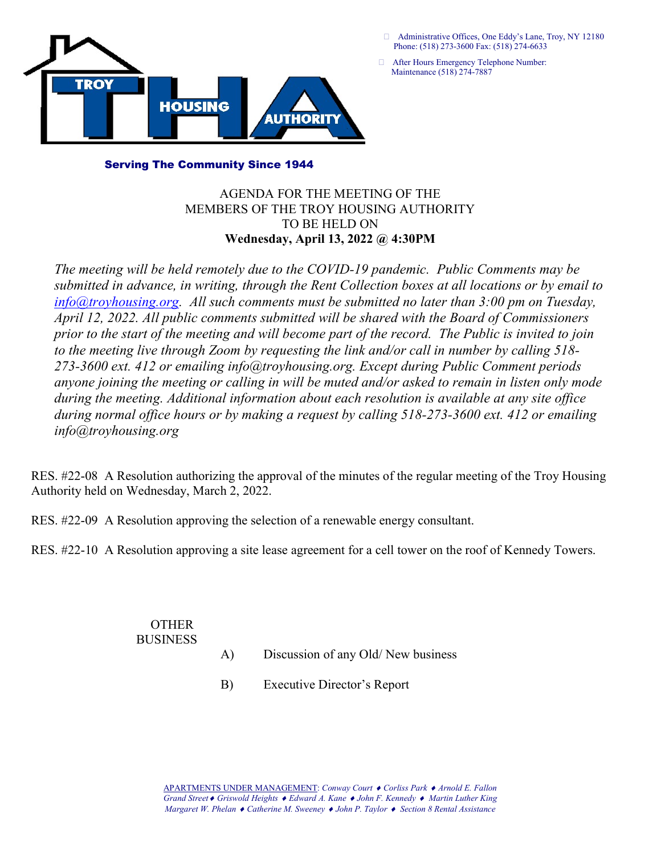

 Administrative Offices, One Eddy's Lane, Troy, NY 12180 Phone: (518) 273-3600 Fax: (518) 274-6633

After Hours Emergency Telephone Number:

## Serving The Community Since 1944

## AGENDA FOR THE MEETING OF THE MEMBERS OF THE TROY HOUSING AUTHORITY TO BE HELD ON Wednesday, April 13, 2022 @ 4:30PM

The meeting will be held remotely due to the COVID-19 pandemic. Public Comments may be submitted in advance, in writing, through the Rent Collection boxes at all locations or by email to  $info@troyhousing.org.$  All such comments must be submitted no later than 3:00 pm on Tuesday, April 12, 2022. All public comments submitted will be shared with the Board of Commissioners prior to the start of the meeting and will become part of the record. The Public is invited to join to the meeting live through Zoom by requesting the link and/or call in number by calling 518- 273-3600 ext. 412 or emailing info@troyhousing.org. Except during Public Comment periods anyone joining the meeting or calling in will be muted and/or asked to remain in listen only mode during the meeting. Additional information about each resolution is available at any site office during normal office hours or by making a request by calling 518-273-3600 ext. 412 or emailing info@troyhousing.org

RES. #22-08 A Resolution authorizing the approval of the minutes of the regular meeting of the Troy Housing Authority held on Wednesday, March 2, 2022.

RES. #22-09 A Resolution approving the selection of a renewable energy consultant.

RES. #22-10 A Resolution approving a site lease agreement for a cell tower on the roof of Kennedy Towers.

 OTHER BUSINESS

A) Discussion of any Old/ New business

B) Executive Director's Report